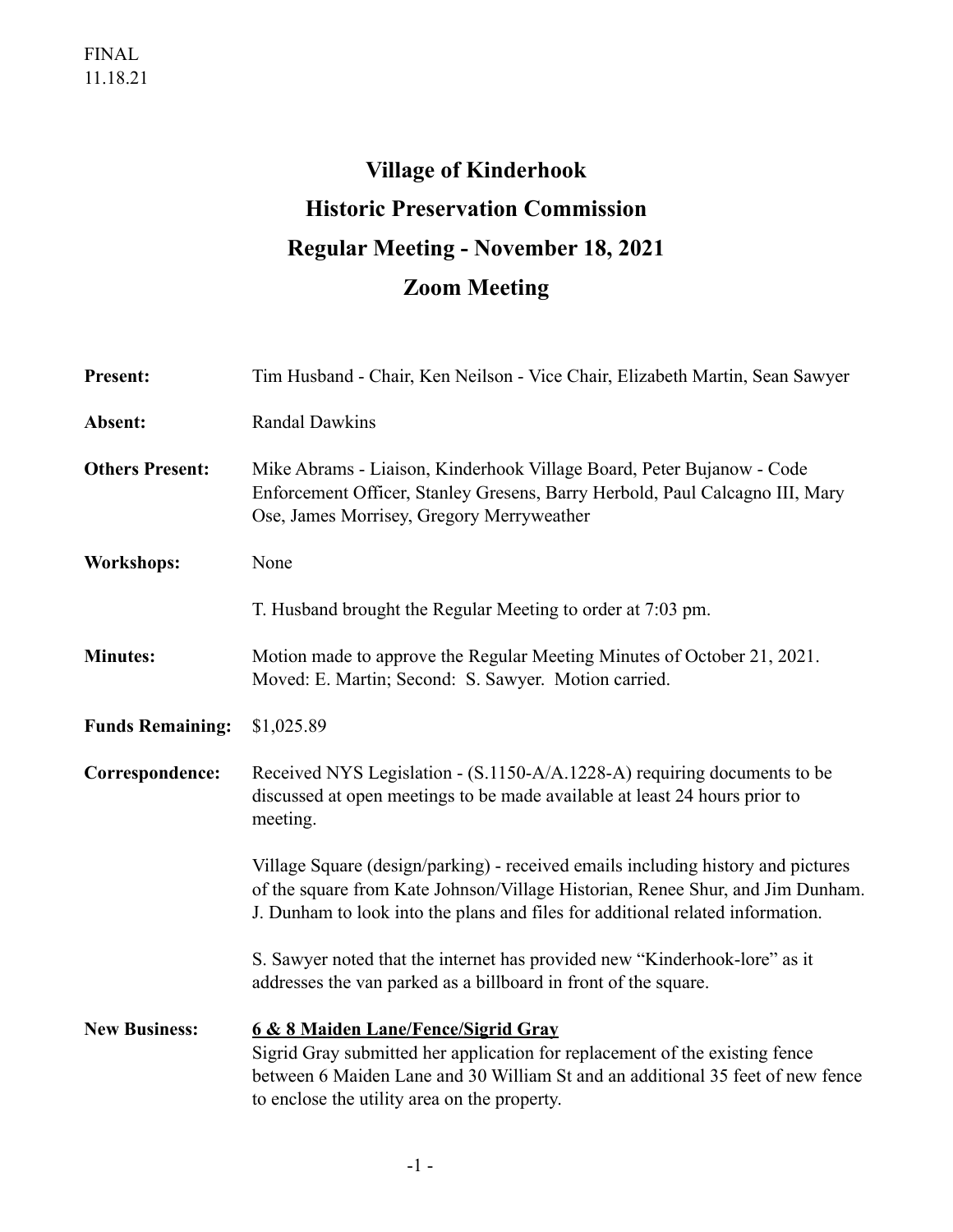## **Village of Kinderhook Historic Preservation Commission Regular Meeting - November 18, 2021 Zoom Meeting**

| <b>Present:</b>         | Tim Husband - Chair, Ken Neilson - Vice Chair, Elizabeth Martin, Sean Sawyer                                                                                                                                                                         |
|-------------------------|------------------------------------------------------------------------------------------------------------------------------------------------------------------------------------------------------------------------------------------------------|
| Absent:                 | <b>Randal Dawkins</b>                                                                                                                                                                                                                                |
| <b>Others Present:</b>  | Mike Abrams - Liaison, Kinderhook Village Board, Peter Bujanow - Code<br>Enforcement Officer, Stanley Gresens, Barry Herbold, Paul Calcagno III, Mary<br>Ose, James Morrisey, Gregory Merryweather                                                   |
| <b>Workshops:</b>       | None                                                                                                                                                                                                                                                 |
|                         | T. Husband brought the Regular Meeting to order at 7:03 pm.                                                                                                                                                                                          |
| <b>Minutes:</b>         | Motion made to approve the Regular Meeting Minutes of October 21, 2021.<br>Moved: E. Martin; Second: S. Sawyer. Motion carried.                                                                                                                      |
| <b>Funds Remaining:</b> | \$1,025.89                                                                                                                                                                                                                                           |
| Correspondence:         | Received NYS Legislation - (S.1150-A/A.1228-A) requiring documents to be<br>discussed at open meetings to be made available at least 24 hours prior to<br>meeting.                                                                                   |
|                         | Village Square (design/parking) - received emails including history and pictures<br>of the square from Kate Johnson/Village Historian, Renee Shur, and Jim Dunham.<br>J. Dunham to look into the plans and files for additional related information. |
|                         | S. Sawyer noted that the internet has provided new "Kinderhook-lore" as it<br>addresses the van parked as a billboard in front of the square.                                                                                                        |
| <b>New Business:</b>    | 6 & 8 Maiden Lane/Fence/Sigrid Gray<br>Sigrid Gray submitted her application for replacement of the existing fence<br>between 6 Maiden Lane and 30 William St and an additional 35 feet of new fence<br>to enclose the utility area on the property. |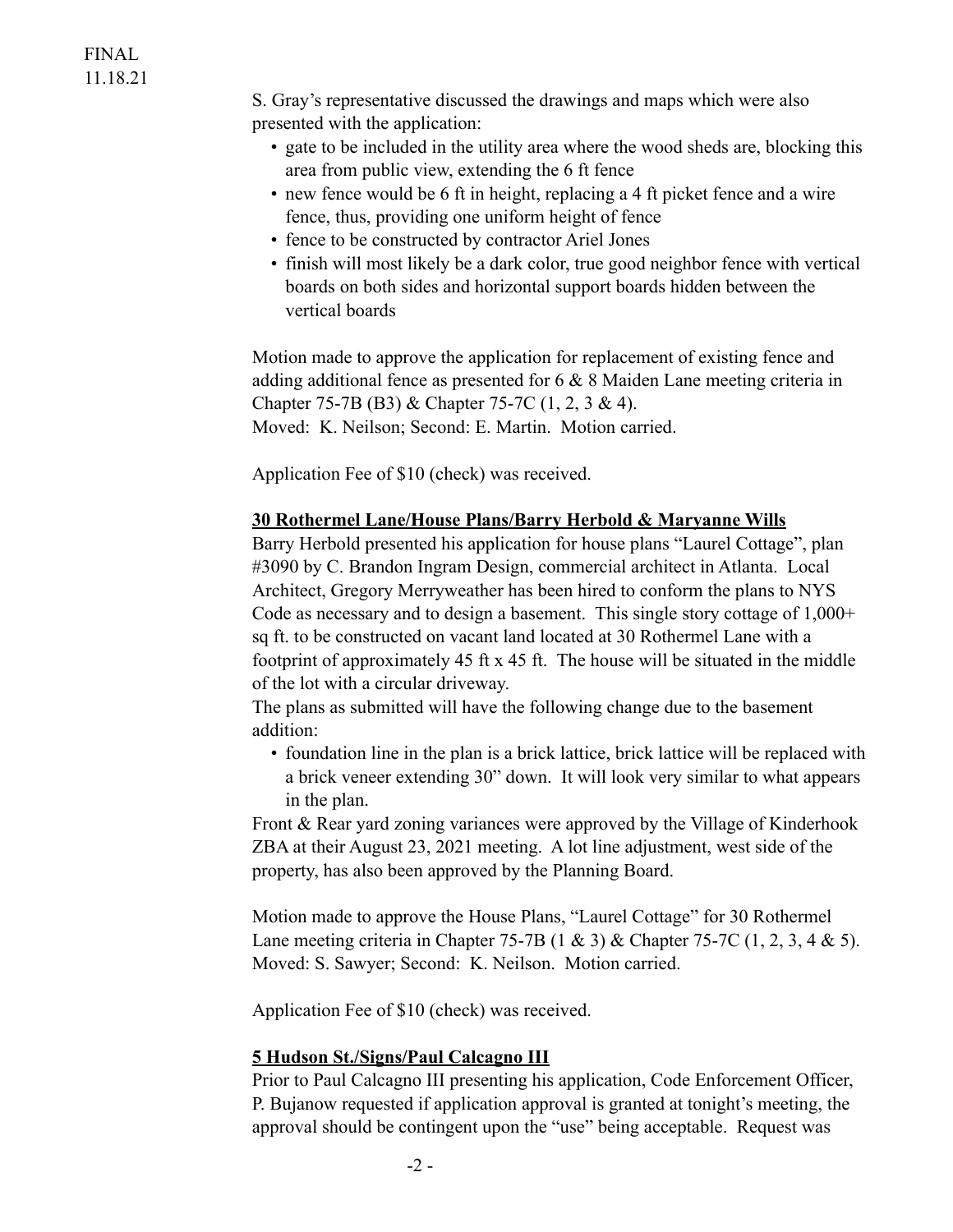S. Gray's representative discussed the drawings and maps which were also presented with the application:

- gate to be included in the utility area where the wood sheds are, blocking this area from public view, extending the 6 ft fence
- new fence would be 6 ft in height, replacing a 4 ft picket fence and a wire fence, thus, providing one uniform height of fence
- fence to be constructed by contractor Ariel Jones
- finish will most likely be a dark color, true good neighbor fence with vertical boards on both sides and horizontal support boards hidden between the vertical boards

Motion made to approve the application for replacement of existing fence and adding additional fence as presented for 6 & 8 Maiden Lane meeting criteria in Chapter 75-7B (B3) & Chapter 75-7C (1, 2, 3 & 4). Moved: K. Neilson; Second: E. Martin. Motion carried.

Application Fee of \$10 (check) was received.

## **30 Rothermel Lane/House Plans/Barry Herbold & Maryanne Wills**

Barry Herbold presented his application for house plans "Laurel Cottage", plan #3090 by C. Brandon Ingram Design, commercial architect in Atlanta. Local Architect, Gregory Merryweather has been hired to conform the plans to NYS Code as necessary and to design a basement. This single story cottage of 1,000+ sq ft. to be constructed on vacant land located at 30 Rothermel Lane with a footprint of approximately 45 ft  $x$  45 ft. The house will be situated in the middle of the lot with a circular driveway.

The plans as submitted will have the following change due to the basement addition:

• foundation line in the plan is a brick lattice, brick lattice will be replaced with a brick veneer extending 30" down. It will look very similar to what appears in the plan.

Front & Rear yard zoning variances were approved by the Village of Kinderhook ZBA at their August 23, 2021 meeting. A lot line adjustment, west side of the property, has also been approved by the Planning Board.

Motion made to approve the House Plans, "Laurel Cottage" for 30 Rothermel Lane meeting criteria in Chapter 75-7B (1 & 3) & Chapter 75-7C (1, 2, 3, 4 & 5). Moved: S. Sawyer; Second: K. Neilson. Motion carried.

Application Fee of \$10 (check) was received.

## **5 Hudson St./Signs/Paul Calcagno III**

Prior to Paul Calcagno III presenting his application, Code Enforcement Officer, P. Bujanow requested if application approval is granted at tonight's meeting, the approval should be contingent upon the "use" being acceptable. Request was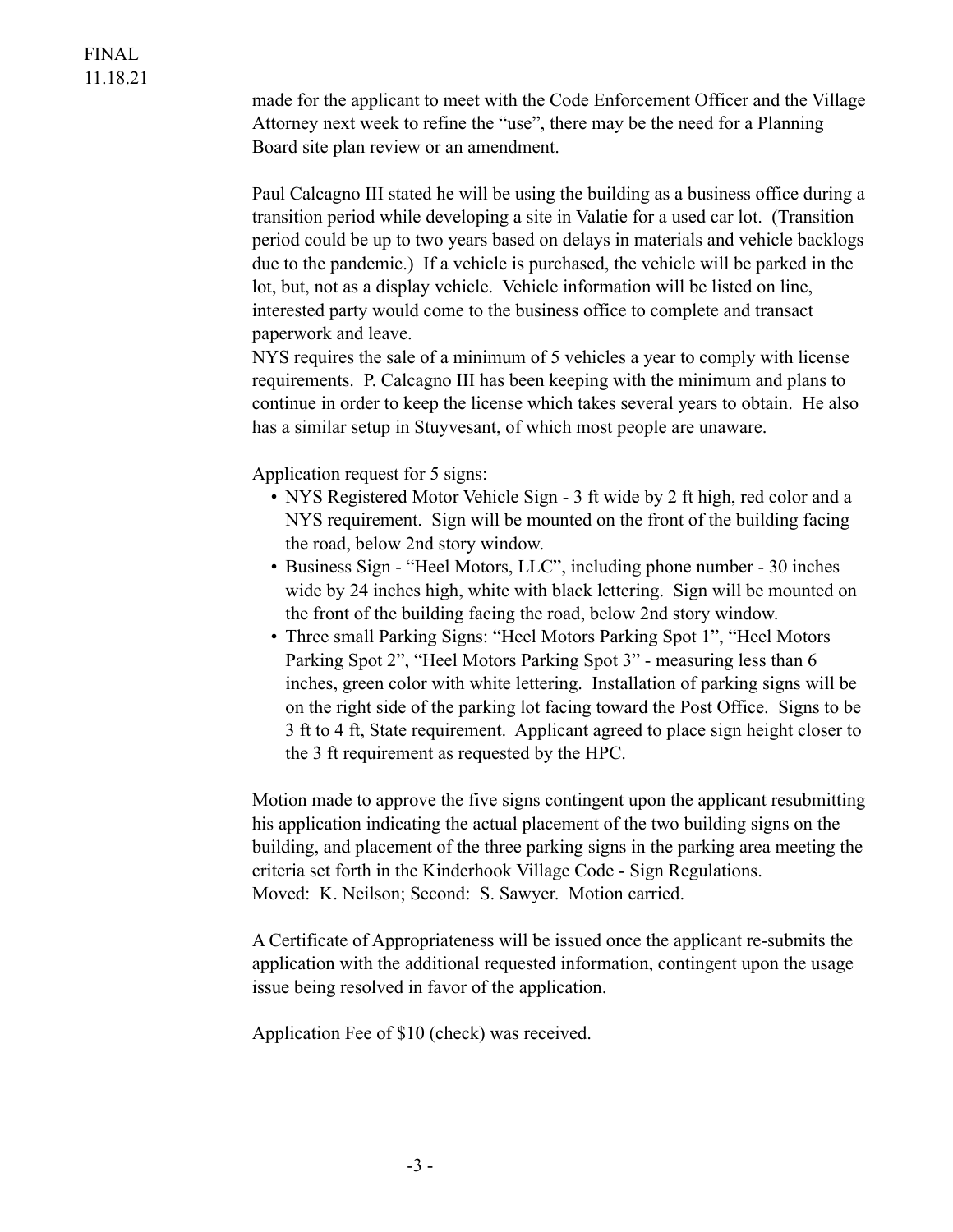made for the applicant to meet with the Code Enforcement Officer and the Village Attorney next week to refine the "use", there may be the need for a Planning Board site plan review or an amendment.

Paul Calcagno III stated he will be using the building as a business office during a transition period while developing a site in Valatie for a used car lot. (Transition period could be up to two years based on delays in materials and vehicle backlogs due to the pandemic.) If a vehicle is purchased, the vehicle will be parked in the lot, but, not as a display vehicle. Vehicle information will be listed on line, interested party would come to the business office to complete and transact paperwork and leave.

NYS requires the sale of a minimum of 5 vehicles a year to comply with license requirements. P. Calcagno III has been keeping with the minimum and plans to continue in order to keep the license which takes several years to obtain. He also has a similar setup in Stuyvesant, of which most people are unaware.

Application request for 5 signs:

- NYS Registered Motor Vehicle Sign 3 ft wide by 2 ft high, red color and a NYS requirement. Sign will be mounted on the front of the building facing the road, below 2nd story window.
- Business Sign "Heel Motors, LLC", including phone number 30 inches wide by 24 inches high, white with black lettering. Sign will be mounted on the front of the building facing the road, below 2nd story window.
- Three small Parking Signs: "Heel Motors Parking Spot 1", "Heel Motors Parking Spot 2", "Heel Motors Parking Spot 3" - measuring less than 6 inches, green color with white lettering. Installation of parking signs will be on the right side of the parking lot facing toward the Post Office. Signs to be 3 ft to 4 ft, State requirement. Applicant agreed to place sign height closer to the 3 ft requirement as requested by the HPC.

Motion made to approve the five signs contingent upon the applicant resubmitting his application indicating the actual placement of the two building signs on the building, and placement of the three parking signs in the parking area meeting the criteria set forth in the Kinderhook Village Code - Sign Regulations. Moved: K. Neilson; Second: S. Sawyer. Motion carried.

A Certificate of Appropriateness will be issued once the applicant re-submits the application with the additional requested information, contingent upon the usage issue being resolved in favor of the application.

Application Fee of \$10 (check) was received.